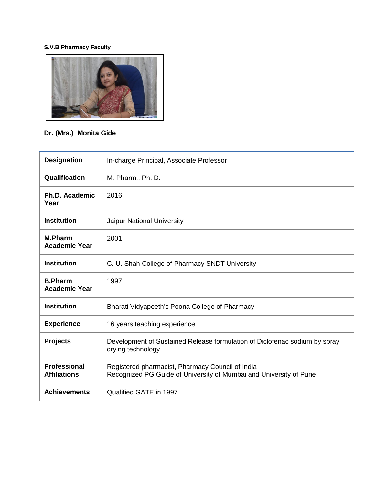## **S.V.B Pharmacy Faculty**



## **Dr. (Mrs.) Monita Gide**

| <b>Designation</b>                     | In-charge Principal, Associate Professor                                                                               |
|----------------------------------------|------------------------------------------------------------------------------------------------------------------------|
| Qualification                          | M. Pharm., Ph. D.                                                                                                      |
| Ph.D. Academic<br>Year                 | 2016                                                                                                                   |
| <b>Institution</b>                     | Jaipur National University                                                                                             |
| <b>M.Pharm</b><br><b>Academic Year</b> | 2001                                                                                                                   |
| <b>Institution</b>                     | C. U. Shah College of Pharmacy SNDT University                                                                         |
| <b>B.Pharm</b><br><b>Academic Year</b> | 1997                                                                                                                   |
| <b>Institution</b>                     | Bharati Vidyapeeth's Poona College of Pharmacy                                                                         |
| <b>Experience</b>                      | 16 years teaching experience                                                                                           |
| <b>Projects</b>                        | Development of Sustained Release formulation of Diclofenac sodium by spray<br>drying technology                        |
| Professional<br><b>Affiliations</b>    | Registered pharmacist, Pharmacy Council of India<br>Recognized PG Guide of University of Mumbai and University of Pune |
| <b>Achievements</b>                    | Qualified GATE in 1997                                                                                                 |